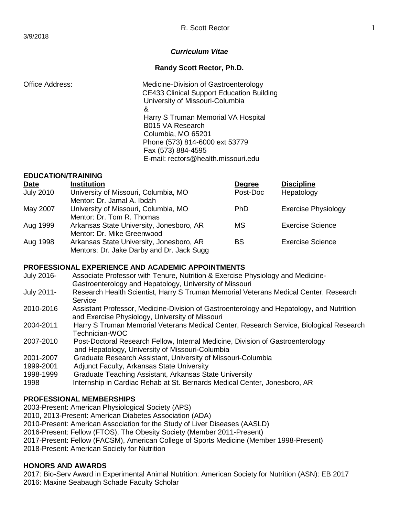#### *Curriculum Vitae*

#### **Randy Scott Rector, Ph.D.**

Office Address: Medicine-Division of Gastroenterology CE433 Clinical Support Education Building University of Missouri-Columbia and a state of the state of the state of the state of the state of the state of the state of the state of the Harry S Truman Memorial VA Hospital B015 VA Research Columbia, MO 65201 Phone (573) 814-6000 ext 53779 Fax (573) 884-4595 E-mail: rectors@health.missouri.edu

### **EDUCATION/TRAINING**

| <b>Date</b>      | <b>Institution</b>                        | <b>Degree</b> | <b>Discipline</b>          |
|------------------|-------------------------------------------|---------------|----------------------------|
| <b>July 2010</b> | University of Missouri, Columbia, MO      | Post-Doc      | Hepatology                 |
|                  | Mentor: Dr. Jamal A. Ibdah                |               |                            |
| May 2007         | University of Missouri, Columbia, MO      | <b>PhD</b>    | <b>Exercise Physiology</b> |
|                  | Mentor: Dr. Tom R. Thomas                 |               |                            |
| Aug 1999         | Arkansas State University, Jonesboro, AR  | МS            | <b>Exercise Science</b>    |
|                  | Mentor: Dr. Mike Greenwood                |               |                            |
| Aug 1998         | Arkansas State University, Jonesboro, AR  | <b>BS</b>     | <b>Exercise Science</b>    |
|                  | Mentors: Dr. Jake Darby and Dr. Jack Sugg |               |                            |

#### **PROFESSIONAL EXPERIENCE AND ACADEMIC APPOINTMENTS**

- July 2016- Associate Professor with Tenure, Nutrition & Exercise Physiology and Medicine-Gastroenterology and Hepatology, University of Missouri
- July 2011- Research Health Scientist, Harry S Truman Memorial Veterans Medical Center, Research Service
- 2010-2016 Assistant Professor, Medicine-Division of Gastroenterology and Hepatology, and Nutrition and Exercise Physiology, University of Missouri
- 2004-2011 Harry S Truman Memorial Veterans Medical Center, Research Service, Biological Research Technician-WOC
- 2007-2010 Post-Doctoral Research Fellow, Internal Medicine, Division of Gastroenterology and Hepatology, University of Missouri-Columbia
- 2001-2007 Graduate Research Assistant, University of Missouri-Columbia
- 1999-2001 Adjunct Faculty, Arkansas State University<br>1998-1999 Graduate Teaching Assistant, Arkansas Sta
- Graduate Teaching Assistant, Arkansas State University
- 1998 Internship in Cardiac Rehab at St. Bernards Medical Center, Jonesboro, AR

#### **PROFESSIONAL MEMBERSHIPS**

2003-Present: American Physiological Society (APS) 2010, 2013-Present: American Diabetes Association (ADA)

2010-Present: American Association for the Study of Liver Diseases (AASLD)

2016-Present: Fellow (FTOS), The Obesity Society (Member 2011-Present)

2017-Present: Fellow (FACSM), American College of Sports Medicine (Member 1998-Present)

2018-Present: American Society for Nutrition

#### **HONORS AND AWARDS**

2017: Bio-Serv Award in Experimental Animal Nutrition: American Society for Nutrition (ASN): EB 2017 2016: Maxine Seabaugh Schade Faculty Scholar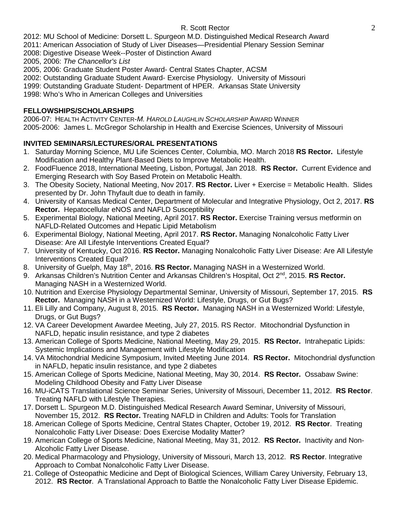2012: MU School of Medicine: Dorsett L. Spurgeon M.D. Distinguished Medical Research Award

- 2011: American Association of Study of Liver Diseases—Presidential Plenary Session Seminar
- 2008: Digestive Disease Week--Poster of Distinction Award
- 2005, 2006: *The Chancellor's List*
- 2005, 2006: Graduate Student Poster Award- Central States Chapter, ACSM
- 2002: Outstanding Graduate Student Award- Exercise Physiology. University of Missouri
- 1999: Outstanding Graduate Student- Department of HPER. Arkansas State University
- 1998: Who's Who in American Colleges and Universities

## **FELLOWSHIPS/SCHOLARSHIPS**

2006-07: HEALTH ACTIVITY CENTER-*M. HAROLD LAUGHLIN SCHOLARSHIP* AWARD WINNER 2005-2006: James L. McGregor Scholarship in Health and Exercise Sciences, University of Missouri

# **INVITED SEMINARS/LECTURES/ORAL PRESENTATIONS**

- 1. Saturday Morning Science, MU Life Sciences Center, Columbia, MO. March 2018 **RS Rector.** Lifestyle Modification and Healthy Plant-Based Diets to Improve Metabolic Health.
- 2. FoodFluence 2018, International Meeting, Lisbon, Portugal, Jan 2018. **RS Rector.** Current Evidence and Emerging Research with Soy Based Protein on Metabolic Health.
- 3. The Obesity Society, National Meeting, Nov 2017. **RS Rector.** Liver + Exercise = Metabolic Health. Slides presented by Dr. John Thyfault due to death in family.
- 4. University of Kansas Medical Center, Department of Molecular and Integrative Physiology, Oct 2, 2017. **RS Rector.** Hepatocellular eNOS and NAFLD Susceptibility
- 5. Experimental Biology, National Meeting, April 2017. **RS Rector.** Exercise Training versus metformin on NAFLD-Related Outcomes and Hepatic Lipid Metabolism
- 6. Experimental Biology, National Meeting, April 2017. **RS Rector.** Managing Nonalcoholic Fatty Liver Disease: Are All Lifestyle Interventions Created Equal?
- 7. University of Kentucky, Oct 2016. **RS Rector.** Managing Nonalcoholic Fatty Liver Disease: Are All Lifestyle Interventions Created Equal?
- 8. University of Guelph, May 18<sup>th</sup>, 2016. **RS Rector.** Managing NASH in a Westernized World.
- 9. Arkansas Children's Nutrition Center and Arkansas Children's Hospital, Oct 2<sup>nd</sup>, 2015. **RS Rector.** Managing NASH in a Westernized World.
- 10. Nutrition and Exercise Physiology Departmental Seminar, University of Missouri, September 17, 2015. **RS Rector.** Managing NASH in a Westernized World: Lifestyle, Drugs, or Gut Bugs?
- 11. Eli Lilly and Company, August 8, 2015. **RS Rector.** Managing NASH in a Westernized World: Lifestyle, Drugs, or Gut Bugs?
- 12. VA Career Development Awardee Meeting, July 27, 2015. RS Rector. Mitochondrial Dysfunction in NAFLD, hepatic insulin resistance, and type 2 diabetes
- 13. American College of Sports Medicine, National Meeting, May 29, 2015. **RS Rector.** Intrahepatic Lipids: Systemic Implications and Management with Lifestyle Modification
- 14. VA Mitochondrial Medicine Symposium, Invited Meeting June 2014. **RS Rector.** Mitochondrial dysfunction in NAFLD, hepatic insulin resistance, and type 2 diabetes
- 15. American College of Sports Medicine, National Meeting, May 30, 2014. **RS Rector.** Ossabaw Swine: Modeling Childhood Obesity and Fatty Liver Disease
- 16. MU-iCATS Translational Science Seminar Series, University of Missouri, December 11, 2012. **RS Rector**. Treating NAFLD with Lifestyle Therapies.
- 17. Dorsett L. Spurgeon M.D. Distinguished Medical Research Award Seminar, University of Missouri, November 15, 2012. **RS Rector.** Treating NAFLD in Children and Adults: Tools for Translation
- 18. American College of Sports Medicine, Central States Chapter, October 19, 2012. **RS Rector**. Treating Nonalcoholic Fatty Liver Disease: Does Exercise Modality Matter?
- 19. American College of Sports Medicine, National Meeting, May 31, 2012. **RS Rector.** Inactivity and Non-Alcoholic Fatty Liver Disease.
- 20. Medical Pharmacology and Physiology, University of Missouri, March 13, 2012. **RS Rector**. Integrative Approach to Combat Nonalcoholic Fatty Liver Disease.
- 21. College of Osteopathic Medicine and Dept of Biological Sciences, William Carey University, February 13, 2012. **RS Rector**. A Translational Approach to Battle the Nonalcoholic Fatty Liver Disease Epidemic.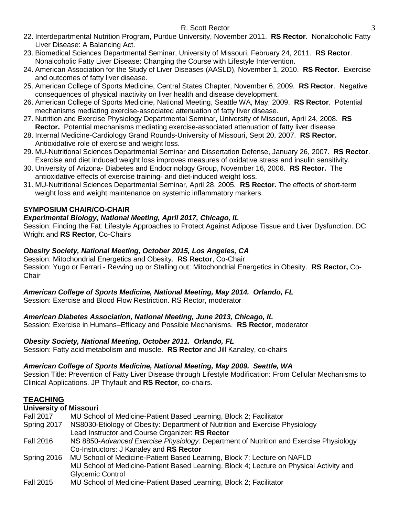- 22. Interdepartmental Nutrition Program, Purdue University, November 2011. **RS Rector**. Nonalcoholic Fatty Liver Disease: A Balancing Act.
- 23. Biomedical Sciences Departmental Seminar, University of Missouri, February 24, 2011. **RS Rector**. Nonalcoholic Fatty Liver Disease: Changing the Course with Lifestyle Intervention.
- 24. American Association for the Study of Liver Diseases (AASLD), November 1, 2010. **RS Rector**. Exercise and outcomes of fatty liver disease.
- 25. American College of Sports Medicine, Central States Chapter, November 6, 2009. **RS Rector**. Negative consequences of physical inactivity on liver health and disease development.
- 26. American College of Sports Medicine, National Meeting, Seattle WA, May, 2009. **RS Rector**. Potential mechanisms mediating exercise-associated attenuation of fatty liver disease.
- 27. Nutrition and Exercise Physiology Departmental Seminar, University of Missouri, April 24, 2008. **RS Rector.** Potential mechanisms mediating exercise-associated attenuation of fatty liver disease.
- 28. Internal Medicine-Cardiology Grand Rounds-University of Missouri, Sept 20, 2007. **RS Rector.** Antioxidative role of exercise and weight loss.
- 29. MU-Nutritional Sciences Departmental Seminar and Dissertation Defense, January 26, 2007. **RS Rector**. Exercise and diet induced weight loss improves measures of oxidative stress and insulin sensitivity.
- 30. University of Arizona- Diabetes and Endocrinology Group, November 16, 2006. **RS Rector.** The antioxidative effects of exercise training- and diet-induced weight loss.
- 31. MU-Nutritional Sciences Departmental Seminar, April 28, 2005. **RS Rector.** The effects of short-term weight loss and weight maintenance on systemic inflammatory markers.

# **SYMPOSIUM CHAIR/CO-CHAIR**

# *Experimental Biology, National Meeting, April 2017, Chicago, IL*

Session: Finding the Fat: Lifestyle Approaches to Protect Against Adipose Tissue and Liver Dysfunction. DC Wright and **RS Rector**, Co-Chairs

# *Obesity Society, National Meeting, October 2015, Los Angeles, CA*

Session: Mitochondrial Energetics and Obesity. **RS Rector**, Co-Chair Session: Yugo or Ferrari - Revving up or Stalling out: Mitochondrial Energetics in Obesity. **RS Rector,** Co-**Chair** 

# *American College of Sports Medicine, National Meeting, May 2014. Orlando, FL*

Session: Exercise and Blood Flow Restriction. RS Rector, moderator

# *American Diabetes Association, National Meeting, June 2013, Chicago, IL*

Session: Exercise in Humans–Efficacy and Possible Mechanisms. **RS Rector**, moderator

# *Obesity Society, National Meeting, October 2011. Orlando, FL*

Session: Fatty acid metabolism and muscle. **RS Rector** and Jill Kanaley, co-chairs

# *American College of Sports Medicine, National Meeting, May 2009. Seattle, WA*

Session Title: Prevention of Fatty Liver Disease through Lifestyle Modification: From Cellular Mechanisms to Clinical Applications. JP Thyfault and **RS Rector**, co-chairs.

# **TEACHING**

**University of Missouri** MU School of Medicine-Patient Based Learning, Block 2; Facilitator Spring 2017 NS8030-Etiology of Obesity: Department of Nutrition and Exercise Physiology Lead Instructor and Course Organizer: **RS Rector** Fall 2016 NS 8850-*Advanced Exercise Physiology*: Department of Nutrition and Exercise Physiology Co-Instructors: J Kanaley and **RS Rector** Spring 2016 MU School of Medicine-Patient Based Learning, Block 7; Lecture on NAFLD MU School of Medicine-Patient Based Learning, Block 4; Lecture on Physical Activity and Glycemic Control Fall 2015 MU School of Medicine-Patient Based Learning, Block 2; Facilitator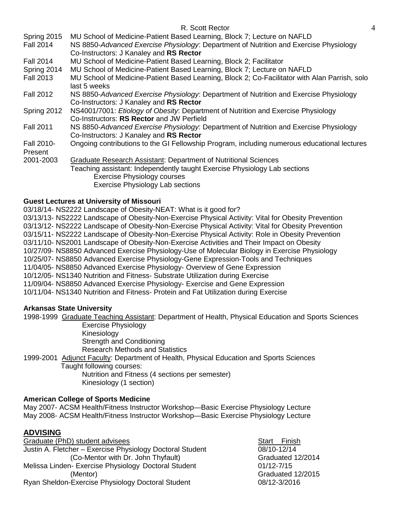| MU School of Medicine-Patient Based Learning, Block 7; Lecture on NAFLD                                                          |
|----------------------------------------------------------------------------------------------------------------------------------|
| NS 8850-Advanced Exercise Physiology: Department of Nutrition and Exercise Physiology                                            |
| Co-Instructors: J Kanaley and RS Rector                                                                                          |
| MU School of Medicine-Patient Based Learning, Block 2; Facilitator                                                               |
| MU School of Medicine-Patient Based Learning, Block 7; Lecture on NAFLD                                                          |
| MU School of Medicine-Patient Based Learning, Block 2; Co-Facilitator with Alan Parrish, solo<br>last 5 weeks                    |
| NS 8850-Advanced Exercise Physiology: Department of Nutrition and Exercise Physiology<br>Co-Instructors: J Kanaley and RS Rector |
| NS4001/7001: Etiology of Obesity: Department of Nutrition and Exercise Physiology<br>Co-Instructors: RS Rector and JW Perfield   |
| NS 8850-Advanced Exercise Physiology: Department of Nutrition and Exercise Physiology<br>Co-Instructors: J Kanaley and RS Rector |
| Ongoing contributions to the GI Fellowship Program, including numerous educational lectures                                      |
| Graduate Research Assistant: Department of Nutritional Sciences                                                                  |
| Teaching assistant: Independently taught Exercise Physiology Lab sections                                                        |
| <b>Exercise Physiology courses</b>                                                                                               |
| Exercise Physiology Lab sections                                                                                                 |
|                                                                                                                                  |

#### **Guest Lectures at University of Missouri**

03/18/14- NS2222 Landscape of Obesity-NEAT: What is it good for? 03/13/13- NS2222 Landscape of Obesity-Non-Exercise Physical Activity: Vital for Obesity Prevention 03/13/12- NS2222 Landscape of Obesity-Non-Exercise Physical Activity: Vital for Obesity Prevention 03/15/11- NS2222 Landscape of Obesity-Non-Exercise Physical Activity: Role in Obesity Prevention 03/11/10- NS2001 Landscape of Obesity-Non-Exercise Activities and Their Impact on Obesity 10/27/09- NS8850 Advanced Exercise Physiology-Use of Molecular Biology in Exercise Physiology 10/25/07- NS8850 Advanced Exercise Physiology-Gene Expression-Tools and Techniques 11/04/05- NS8850 Advanced Exercise Physiology- Overview of Gene Expression

10/12/05- NS1340 Nutrition and Fitness- Substrate Utilization during Exercise

11/09/04- NS8850 Advanced Exercise Physiology- Exercise and Gene Expression

10/11/04- NS1340 Nutrition and Fitness- Protein and Fat Utilization during Exercise

#### **Arkansas State University**

1998-1999 Graduate Teaching Assistant: Department of Health, Physical Education and Sports Sciences Exercise Physiology

Kinesiology

Strength and Conditioning

Research Methods and Statistics

1999-2001 Adjunct Faculty: Department of Health, Physical Education and Sports Sciences Taught following courses:

Nutrition and Fitness (4 sections per semester) Kinesiology (1 section)

#### **American College of Sports Medicine**

May 2007- ACSM Health/Fitness Instructor Workshop—Basic Exercise Physiology Lecture May 2008- ACSM Health/Fitness Instructor Workshop—Basic Exercise Physiology Lecture

# **ADVISING**

Graduate (PhD) student advisees Start Finish Justin A. Fletcher – Exercise Physiology Doctoral Student 08/10-12/14 (Co-Mentor with Dr. John Thyfault) Graduated 12/2014 Melissa Linden- Exercise Physiology Doctoral Student **01/12-7/15** (Mentor) Graduated 12/2015 Ryan Sheldon-Exercise Physiology Doctoral Student 08/12-3/2016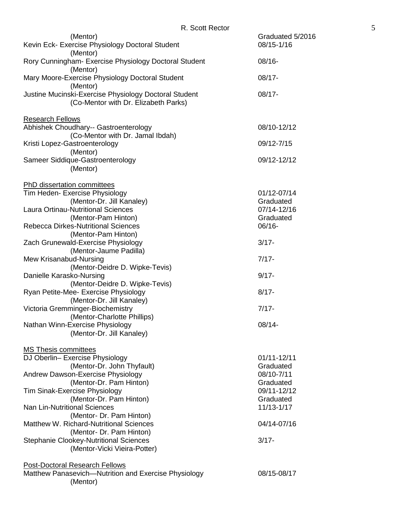|                                                                                                   | R. SCOIL RECIOI |                                         |
|---------------------------------------------------------------------------------------------------|-----------------|-----------------------------------------|
| (Mentor)<br>Kevin Eck- Exercise Physiology Doctoral Student                                       |                 | Graduated 5/2016<br>08/15-1/16          |
| (Mentor)<br>Rory Cunningham- Exercise Physiology Doctoral Student<br>(Mentor)                     |                 | $08/16 -$                               |
| Mary Moore-Exercise Physiology Doctoral Student<br>(Mentor)                                       |                 | $08/17 -$                               |
| Justine Mucinski-Exercise Physiology Doctoral Student<br>(Co-Mentor with Dr. Elizabeth Parks)     |                 | $08/17 -$                               |
| <b>Research Fellows</b>                                                                           |                 |                                         |
| Abhishek Choudhary-- Gastroenterology<br>(Co-Mentor with Dr. Jamal Ibdah)                         |                 | 08/10-12/12                             |
| Kristi Lopez-Gastroenterology<br>(Mentor)                                                         |                 | 09/12-7/15                              |
| Sameer Siddique-Gastroenterology<br>(Mentor)                                                      |                 | 09/12-12/12                             |
| <b>PhD dissertation committees</b>                                                                |                 |                                         |
| Tim Heden- Exercise Physiology<br>(Mentor-Dr. Jill Kanaley)<br>Laura Ortinau-Nutritional Sciences |                 | 01/12-07/14<br>Graduated<br>07/14-12/16 |
| (Mentor-Pam Hinton)<br><b>Rebecca Dirkes-Nutritional Sciences</b>                                 |                 | Graduated<br>$06/16 -$                  |
| (Mentor-Pam Hinton)<br>Zach Grunewald-Exercise Physiology                                         |                 | $3/17 -$                                |
| (Mentor-Jaume Padilla)                                                                            |                 |                                         |
| Mew Krisanabud-Nursing<br>(Mentor-Deidre D. Wipke-Tevis)                                          |                 | $7/17 -$                                |
| Danielle Karasko-Nursing<br>(Mentor-Deidre D. Wipke-Tevis)                                        |                 | $9/17 -$                                |
| Ryan Petite-Mee- Exercise Physiology<br>(Mentor-Dr. Jill Kanaley)                                 |                 | $8/17 -$                                |
| Victoria Gremminger-Biochemistry<br>(Mentor-Charlotte Phillips)                                   |                 | $7/17 -$                                |
| Nathan Winn-Exercise Physiology<br>(Mentor-Dr. Jill Kanaley)                                      |                 | $08/14 -$                               |
| <b>MS Thesis committees</b>                                                                       |                 |                                         |
| DJ Oberlin- Exercise Physiology<br>(Mentor-Dr. John Thyfault)                                     |                 | 01/11-12/11<br>Graduated                |
| Andrew Dawson-Exercise Physiology<br>(Mentor-Dr. Pam Hinton)                                      |                 | 08/10-7/11<br>Graduated                 |
| Tim Sinak-Exercise Physiology<br>(Mentor-Dr. Pam Hinton)                                          |                 | 09/11-12/12<br>Graduated                |
| <b>Nan Lin-Nutritional Sciences</b><br>(Mentor- Dr. Pam Hinton)                                   |                 | 11/13-1/17                              |
| <b>Matthew W. Richard-Nutritional Sciences</b><br>(Mentor- Dr. Pam Hinton)                        |                 | 04/14-07/16                             |
| <b>Stephanie Clookey-Nutritional Sciences</b><br>(Mentor-Vicki Vieira-Potter)                     |                 | $3/17 -$                                |
| <b>Post-Doctoral Research Fellows</b><br>Matthew Panasevich-Nutrition and Exercise Physiology     |                 | 08/15-08/17                             |
|                                                                                                   |                 |                                         |

(Mentor)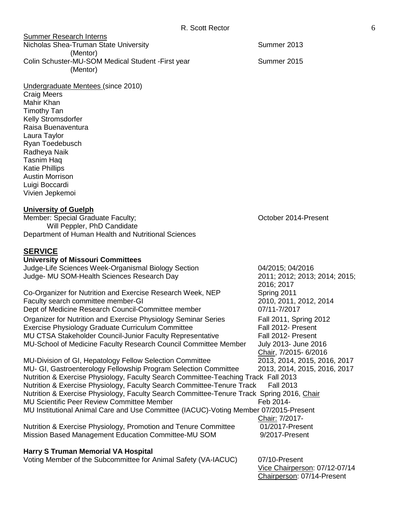| <b>Summer Research Interns</b>                                 |             |
|----------------------------------------------------------------|-------------|
| Nicholas Shea-Truman State University                          | Summer 2013 |
| (Mentor)                                                       |             |
| Colin Schuster-MU-SOM Medical Student - First year<br>(Mentor) | Summer 2015 |
| Undergraduate Mentees (since 2010)                             |             |

Craig Meers Mahir Khan Timothy Tan Kelly Stromsdorfer Raisa Buenaventura Laura Taylor Ryan Toedebusch Radheya Naik Tasnim Haq Katie Phillips Austin Morrison Luigi Boccardi Vivien Jepkemoi

#### **University of Guelph**

Member: Special Graduate Faculty; and the control of the Coronal Coronal Coronal Coronal Coronal Coronal Coronal Coronal Coronal Coronal Coronal Coronal Coronal Coronal Coronal Coronal Coronal Coronal Coronal Coronal Coron Will Peppler, PhD Candidate Department of Human Health and Nutritional Sciences

#### **SERVICE**

| <b>University of Missouri Committees</b>                                                  |                               |
|-------------------------------------------------------------------------------------------|-------------------------------|
| Judge-Life Sciences Week-Organismal Biology Section                                       | 04/2015; 04/2016              |
| Judge- MU SOM-Health Sciences Research Day                                                | 2011; 2012; 2013; 2014; 2015; |
|                                                                                           | 2016; 2017                    |
| Co-Organizer for Nutrition and Exercise Research Week, NEP                                | Spring 2011                   |
| Faculty search committee member-GI                                                        | 2010, 2011, 2012, 2014        |
| Dept of Medicine Research Council-Committee member                                        | 07/11-7/2017                  |
|                                                                                           |                               |
| Organizer for Nutrition and Exercise Physiology Seminar Series                            | Fall 2011, Spring 2012        |
| Exercise Physiology Graduate Curriculum Committee                                         | Fall 2012- Present            |
| MU CTSA Stakeholder Council-Junior Faculty Representative                                 | Fall 2012- Present            |
| MU-School of Medicine Faculty Research Council Committee Member                           | July 2013- June 2016          |
|                                                                                           | Chair, 7/2015-6/2016          |
| MU-Division of GI, Hepatology Fellow Selection Committee                                  | 2013, 2014, 2015, 2016, 2017  |
| MU- GI, Gastroenterology Fellowship Program Selection Committee                           | 2013, 2014, 2015, 2016, 2017  |
| Nutrition & Exercise Physiology, Faculty Search Committee-Teaching Track Fall 2013        |                               |
| Nutrition & Exercise Physiology, Faculty Search Committee-Tenure Track                    | <b>Fall 2013</b>              |
| Nutrition & Exercise Physiology, Faculty Search Committee-Tenure Track Spring 2016, Chair |                               |
| <b>MU Scientific Peer Review Committee Member</b>                                         | Feb 2014-                     |
|                                                                                           |                               |
| MU Institutional Animal Care and Use Committee (IACUC)-Voting Member 07/2015-Present      |                               |
|                                                                                           | Chair: 7/2017-                |
| Nutrition & Exercise Physiology, Promotion and Tenure Committee                           | 01/2017-Present               |
| Mission Based Management Education Committee-MU SOM                                       | 9/2017-Present                |
|                                                                                           |                               |
| <b>Harry S Truman Memorial VA Hospital</b>                                                |                               |
| Voting Member of the Subcommittee for Animal Safety (VA-IACUC)                            | 07/10-Present                 |

Vice Chairperson: 07/12-07/14 Chairperson: 07/14-Present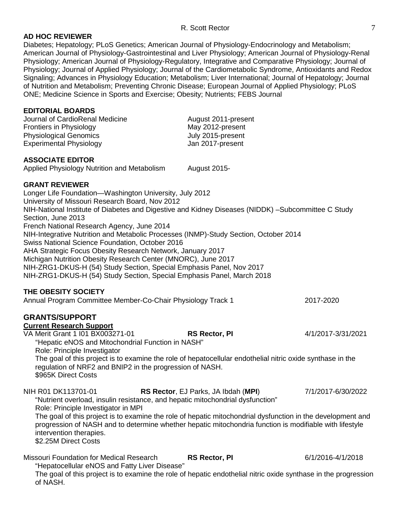### **AD HOC REVIEWER**

Diabetes; Hepatology; PLoS Genetics; American Journal of Physiology-Endocrinology and Metabolism; American Journal of Physiology-Gastrointestinal and Liver Physiology; American Journal of Physiology-Renal Physiology; American Journal of Physiology-Regulatory, Integrative and Comparative Physiology; Journal of Physiology; Journal of Applied Physiology; Journal of the Cardiometabolic Syndrome, Antioxidants and Redox Signaling; Advances in Physiology Education; Metabolism; Liver International; Journal of Hepatology; Journal of Nutrition and Metabolism; Preventing Chronic Disease; European Journal of Applied Physiology; PLoS ONE; Medicine Science in Sports and Exercise; Obesity; Nutrients; FEBS Journal

#### **EDITORIAL BOARDS**

Journal of CardioRenal Medicine **August 2011-present** Frontiers in Physiology May 2012-present Physiological Genomics July 2015-present Experimental Physiology **Contact Experimental Physiology Jan 2017-present** 

#### **ASSOCIATE EDITOR**

Applied Physiology Nutrition and Metabolism August 2015-

#### **GRANT REVIEWER**

Longer Life Foundation—Washington University, July 2012 University of Missouri Research Board, Nov 2012 NIH-National Institute of Diabetes and Digestive and Kidney Diseases (NIDDK) –Subcommittee C Study Section, June 2013 French National Research Agency, June 2014 NIH-Integrative Nutrition and Metabolic Processes (INMP)-Study Section, October 2014 Swiss National Science Foundation, October 2016 AHA Strategic Focus Obesity Research Network, January 2017 Michigan Nutrition Obesity Research Center (MNORC), June 2017 NIH-ZRG1-DKUS-H (54) Study Section, Special Emphasis Panel, Nov 2017 NIH-ZRG1-DKUS-H (54) Study Section, Special Emphasis Panel, March 2018 **THE OBESITY SOCIETY** Annual Program Committee Member-Co-Chair Physiology Track 1 2017-2020

# **GRANTS/SUPPORT**

**Current Research Support** VA Merit Grant 1 I01 BX003271-01 **RS Rector, PI** 4/1/2017-3/31/2021 "Hepatic eNOS and Mitochondrial Function in NASH" Role: Principle Investigator The goal of this project is to examine the role of hepatocellular endothelial nitric oxide synthase in the regulation of NRF2 and BNIP2 in the progression of NASH. \$965K Direct Costs

NIH R01 DK113701-01 **RS Rector**, EJ Parks, JA Ibdah (**MPI**) 7/1/2017-6/30/2022 "Nutrient overload, insulin resistance, and hepatic mitochondrial dysfunction"

Role: Principle Investigator in MPI

The goal of this project is to examine the role of hepatic mitochondrial dysfunction in the development and progression of NASH and to determine whether hepatic mitochondria function is modifiable with lifestyle intervention therapies.

\$2.25M Direct Costs

Missouri Foundation for Medical Research **RS Rector, PI** 6/1/2016-4/1/2018 "Hepatocellular eNOS and Fatty Liver Disease" The goal of this project is to examine the role of hepatic endothelial nitric oxide synthase in the progression of NASH.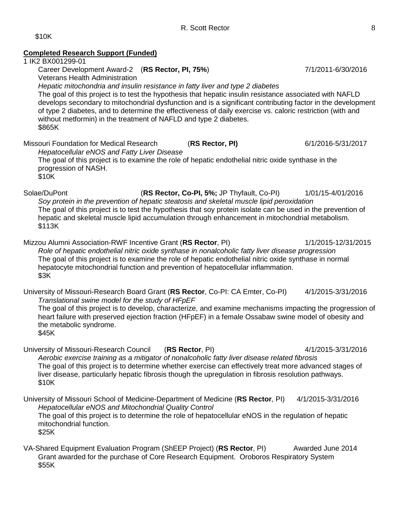# **Completed Research Support (Funded)** 1 IK2 BX001299-01 Career Development Award-2 (**RS Rector, PI, 75%**) 7/1/2011-6/30/2016 Veterans Health Administration *Hepatic mitochondria and insulin resistance in fatty liver and type 2 diabetes* The goal of this project is to test the hypothesis that hepatic insulin resistance associated with NAFLD develops secondary to mitochondrial dysfunction and is a significant contributing factor in the development of type 2 diabetes, and to determine the effectiveness of daily exercise vs. caloric restriction (with and without metformin) in the treatment of NAFLD and type 2 diabetes. \$865K Missouri Foundation for Medical Research (**RS Rector, PI)** 6/1/2016-5/31/2017 *Hepatocellular eNOS and Fatty Liver Disease* The goal of this project is to examine the role of hepatic endothelial nitric oxide synthase in the progression of NASH. \$10K Solae/DuPont (**RS Rector, Co-PI, 5%;** JP Thyfault, Co-PI) 1/01/15-4/01/2016 *Soy protein in the prevention of hepatic steatosis and skeletal muscle lipid peroxidation*  The goal of this project is to test the hypothesis that soy protein isolate can be used in the prevention of hepatic and skeletal muscle lipid accumulation through enhancement in mitochondrial metabolism. \$113K Mizzou Alumni Association-RWF Incentive Grant (**RS Rector**, PI) 1/1/2015-12/31/2015 *Role of hepatic endothelial nitric oxide synthase in nonalcoholic fatty liver disease progression* The goal of this project is to examine the role of hepatic endothelial nitric oxide synthase in normal hepatocyte mitochondrial function and prevention of hepatocellular inflammation. \$3K University of Missouri-Research Board Grant (**RS Rector**, Co-PI: CA Emter, Co-PI) 4/1/2015-3/31/2016 *Translational swine model for the study of HFpEF* The goal of this project is to develop, characterize, and examine mechanisms impacting the progression of heart failure with preserved ejection fraction (HFpEF) in a female Ossabaw swine model of obesity and the metabolic syndrome. \$45K University of Missouri-Research Council (**RS Rector**, PI) 4/1/2015-3/31/2016 *Aerobic exercise training as a mitigator of nonalcoholic fatty liver disease related fibrosis* The goal of this project is to determine whether exercise can effectively treat more advanced stages of liver disease, particularly hepatic fibrosis though the upregulation in fibrosis resolution pathways. \$10K University of Missouri School of Medicine-Department of Medicine (**RS Rector**, PI) 4/1/2015-3/31/2016 *Hepatocellular eNOS and Mitochondrial Quality Control* The goal of this project is to determine the role of hepatocellular eNOS in the regulation of hepatic mitochondrial function. \$25K VA-Shared Equipment Evaluation Program (ShEEP Project) (**RS Rector**, PI) Awarded June 2014 Grant awarded for the purchase of Core Research Equipment. Oroboros Respiratory System \$55K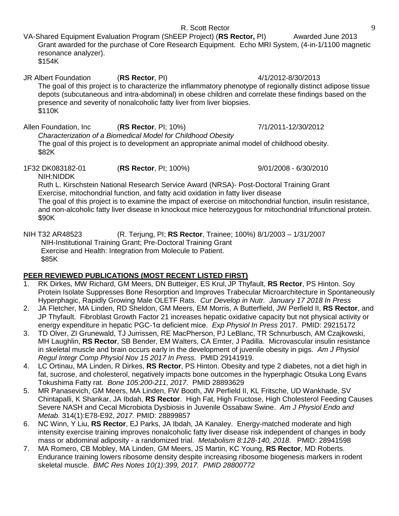VA-Shared Equipment Evaluation Program (ShEEP Project) (**RS Rector,** PI) Awarded June 2013 Grant awarded for the purchase of Core Research Equipment. Echo MRI System, (4-in-1/1100 magnetic resonance analyzer). \$154K

JR Albert Foundation (**RS Rector**, PI) 4/1/2012-8/30/2013 The goal of this project is to characterize the inflammatory phenotype of regionally distinct adipose tissue depots (subcutaneous and intra-abdominal) in obese children and correlate these findings based on the presence and severity of nonalcoholic fatty liver from liver biopsies. \$110K

Allen Foundation, Inc (**RS Rector**, PI; 10%) 7/1/2011-12/30/2012 *Characterization of a Biomedical Model for Childhood Obesity* The goal of this project is to development an appropriate animal model of childhood obesity. \$82K

1F32 DK083182-01 (**RS Rector**, PI; 100%) 9/01/2008 - 6/30/2010 NIH:NIDDK

Ruth L. Kirschstein National Research Service Award (NRSA)- Post-Doctoral Training Grant Exercise, mitochondrial function, and fatty acid oxidation in fatty liver disease

The goal of this project is to examine the impact of exercise on mitochondrial function, insulin resistance, and non-alcoholic fatty liver disease in knockout mice heterozygous for mitochondrial trifunctional protein. \$90K

NIH T32 AR48523 (R. Terjung, PI; **RS Rector**, Trainee; 100%) 8/1/2003 – 1/31/2007 NIH-Institutional Training Grant; Pre-Doctoral Training Grant Exercise and Health: Integration from Molecule to Patient. \$85K

# **PEER REVIEWED PUBLICATIONS (MOST RECENT LISTED FIRST)**

- 1. RK Dirkes, MW Richard, GM Meers, DN Butteiger, ES Krul, JP Thyfault, **RS Rector**, PS Hinton. Soy Protein Isolate Suppresses Bone Resorption and Improves Trabecular Microarchitecture in Spontaneously Hyperphagic, Rapidly Growing Male OLETF Rats. *Cur Develop in Nutr. January 17 2018 In Press*
- 2. JA Fletcher, MA Linden, RD Sheldon, GM Meers, EM Morris, A Butterfield, JW Perfield II, **RS Rector**, and JP Thyfault. Fibroblast Growth Factor 21 increases hepatic oxidative capacity but not physical activity or energy expenditure in hepatic PGC-1α deficient mice. *Exp Physiol In Press* 2017. PMID: 29215172
- 3. TD Olver, ZI Grunewald, TJ Jurrissen, RE MacPherson, PJ LeBlanc, TR Schnurbusch, AM Czajkowski, MH Laughlin, **RS Rector**, SB Bender, EM Walters, CA Emter, J Padilla. Microvascular insulin resistance in skeletal muscle and brain occurs early in the development of juvenile obesity in pigs. *Am J Physiol Regul Integr Comp Physiol Nov 15 2017 In Press.* PMID 29141919.
- 4. LC Ortinau, MA Linden, R Dirkes, **RS Rector**, PS Hinton. Obesity and type 2 diabetes, not a diet high in fat, sucrose, and cholesterol, negatively impacts bone outcomes in the hyperphagic Otsuka Long Evans Tokushima Fatty rat. *Bone 105:200-211, 2017*. PMID 28893629
- 5. MR Panasevich, GM Meers, MA Linden, FW Booth, JW Perfield II, KL Fritsche, UD Wankhade, SV Chintapalli, K Shankar, JA Ibdah, **RS Rector**. High Fat, High Fructose, High Cholesterol Feeding Causes Severe NASH and Cecal Microbiota Dysbiosis in Juvenile Ossabaw Swine.*Am J Physiol Endo and Metab.* 314(1):E78-E92, *2017.* PMID: 28899857
- 6. NC Winn, Y Liu, **RS Rector**, EJ Parks, JA Ibdah, JA Kanaley. Energy-matched moderate and high intensity exercise training improves nonalcoholic fatty liver disease risk independent of changes in body mass or abdominal adiposity - a randomized trial. *Metabolism 8:128-140, 2018*. PMID: 28941598
- 7. MA Romero, CB Mobley, MA Linden, GM Meers, JS Martin, KC Young, **RS Rector**, MD Roberts. Endurance training lowers ribosome density despite increasing ribosome biogenesis markers in rodent skeletal muscle. *BMC Res Notes 10(1):399, 2017. PMID 28800772*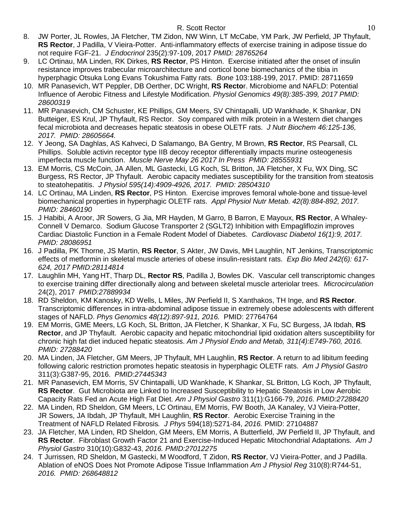- 8. JW Porter, JL Rowles, JA Fletcher, TM Zidon, NW Winn, LT McCabe, YM Park, JW Perfield, JP Thyfault, **RS Rector**, J Padilla, V Vieira-Potter. Anti-inflammatory effects of exercise training in adipose tissue do not require FGF-21. *J Endocrinol* 235(2):97-109, 2017 *PMID: 28765264*
- 9. LC Ortinau, MA Linden, RK Dirkes, **RS Rector**, PS Hinton. Exercise initiated after the onset of insulin resistance improves trabecular microarchitecture and corticol bone biomechanics of the tibia in hyperphagic Otsuka Long Evans Tokushima Fatty rats. *Bone* 103:188-199, 2017. PMID: 28711659
- 10. MR Panasevich, WT Peppler, DB Oerther, DC Wright, **RS Recto**r. Microbiome and NAFLD: Potential Influence of Aerobic Fitness and Lifestyle Modification. *Physiol Genomics 49(8):385-399, 2017 PMID: 28600319*
- 11. MR Panasevich, CM Schuster, KE Phillips, GM Meers, SV Chintapalli, UD Wankhade, K Shankar, DN Butteiger, ES Krul, JP Thyfault, RS Rector. Soy compared with milk protein in a Western diet changes fecal microbiota and decreases hepatic steatosis in obese OLETF rats. *J Nutr Biochem 46:125-136, 2017. PMID: 28605664.*
- 12. Y Jeong, SA Daghlas, AS Kahveci, D Salamango, BA Gentry, M Brown, **RS Rector**, RS Pearsall, CL Phillips. Soluble activin receptor type IIB decoy receptor differentially impacts murine osteogenesis imperfecta muscle function. *Muscle Nerve May 26 2017 In Press PMID: 28555931*
- 13. EM Morris, CS McCoin, JA Allen, ML Gastecki, LG Koch, SL Britton, JA Fletcher, X Fu, WX Ding, SC Burgess, RS Rector, JP Thyfault. Aerobic capacity mediates susceptibility for the transition from steatosis to steatohepatitis. *J Physiol 595(14):4909-4926, 2017. PMID: 28504310*
- 14. LC Ortinau, MA Linden, **RS Rector**, PS Hinton. Exercise improves femoral whole-bone and tissue-level biomechanical properties in hyperphagic OLETF rats. *Appl Physiol Nutr Metab. 42(8):884-892, 2017. PMID: 28460190*
- 15. J Habibi, A Aroor, JR Sowers, G Jia, MR Hayden, M Garro, B Barron, E Mayoux, **RS Rector**, A Whaley-Connell V Demarco. Sodium Glucose Transporter 2 (SGLT2) Inhibition with Empagliflozin improves Cardiac Diastolic Function in a Female Rodent Model of Diabetes. *Cardiovasc Diabetol 16(1):9, 2017. PMID: 28086951*
- 16. J Padilla, PK Thorne, JS Martin, **RS Rector**, S Akter, JW Davis, MH Laughlin, NT Jenkins, Transcriptomic effects of metformin in skeletal muscle arteries of obese insulin-resistant rats. *Exp Bio Med 242(6): 617- 624, 2017 PMID:28114814*
- 17. Laughlin MH, Yang HT, Tharp DL, **Rector RS**, Padilla J, Bowles DK. Vascular cell transcriptomic changes to exercise training differ directionally along and between skeletal muscle arteriolar trees. *Microcirculation* 24(2), 2017 *PMID:27889934*
- 18. RD Sheldon, KM Kanosky, KD Wells, L Miles, JW Perfield II, S Xanthakos, TH Inge, and **RS Rector**. Transcriptomic differences in intra-abdominal adipose tissue in extremely obese adolescents with different stages of NAFLD. *Phys Genomics 48(12):897-911, 2016.* PMID: 27764764
- 19. EM Morris, GME Meers, LG Koch, SL Britton, JA Fletcher, K Shankar, X Fu, SC Burgess, JA Ibdah, **RS Rector**, and JP Thyfault. Aerobic capacity and hepatic mitochondrial lipid oxidation alters susceptibility for chronic high fat diet induced hepatic steatosis. *Am J Physiol Endo and Metab, 311(4):E749-760, 2016. PMID: 27288420*
- 20. MA Linden, JA Fletcher, GM Meers, JP Thyfault, MH Laughlin, **RS Rector**. A return to ad libitum feeding following caloric restriction promotes hepatic steatosis in hyperphagic OLETF rats. *Am J Physiol Gastro*  311(3):G387-95, 2016. *PMID:27445343*
- 21. MR Panasevich, EM Morris, SV Chintapalli, UD Wankhade, K Shankar, SL Britton, LG Koch, JP Thyfault, **RS Rector**. Gut Microbiota are Linked to Increased Susceptibility to Hepatic Steatosis in Low Aerobic Capacity Rats Fed an Acute High Fat Diet. *Am J Physiol Gastro* 311(1):G166-79, *2016. PMID:27288420*
- 22. MA Linden, RD Sheldon, GM Meers, LC Ortinau, EM Morris, FW Booth, JA Kanaley, VJ Vieira-Potter, JR Sowers, JA Ibdah, JP Thyfault, MH Laughlin, **RS Rector**. Aerobic Exercise Training in the Treatment of NAFLD Related Fibrosis*. J Phys* 594(18):5271-84, *2016.* PMID: 27104887
- 23. JA Fletcher, MA Linden, RD Sheldon, GM Meers, EM Morris, A Butterfield, JW Perfield II, JP Thyfault, and **RS Rector**. Fibroblast Growth Factor 21 and Exercise-Induced Hepatic Mitochondrial Adaptations. *Am J Physiol Gastro* 310(10):G832-43, *2016. PMID:27012275*
- 24. T Jurrissen, RD Sheldon, M Gastecki, M Woodford, T Zidon, **RS Rector**, VJ Vieira-Potter, and J Padilla. Ablation of eNOS Does Not Promote Adipose Tissue Inflammation *Am J Physiol Reg* 310(8):R744-51, *2016. PMID: 268648812*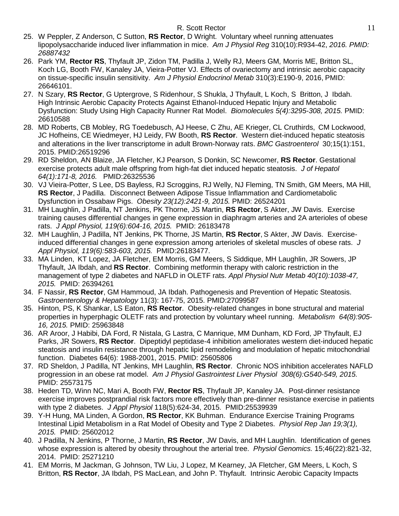- 25. W Peppler, Z Anderson, C Sutton, **RS Rector**, D Wright. Voluntary wheel running attenuates lipopolysaccharide induced liver inflammation in mice. *Am J Physiol Reg* 310(10):R934-42, *2016. PMID: 26887432*
- 26. Park YM, **Rector RS**, Thyfault JP, Zidon TM, Padilla J, Welly RJ, Meers GM, Morris ME, Britton SL, Koch LG, Booth FW, Kanaley JA, Vieira-Potter VJ. Effects of ovariectomy and intrinsic aerobic capacity on tissue-specific insulin sensitivity. *Am J Physiol Endocrinol Metab* 310(3):E190-9, 2016, PMID: 26646101.
- 27. N Szary, **RS Rector**, G Uptergrove, S Ridenhour, S Shukla, J Thyfault, L Koch, S Britton, J Ibdah. High Intrinsic Aerobic Capacity Protects Against Ethanol-Induced Hepatic Injury and Metabolic Dysfunction: Study Using High Capacity Runner Rat Model. *Biomolecules 5(4):3295-308, 2015.* PMID: 26610588
- 28. MD Roberts, CB Mobley, RG Toedebusch, AJ Heese, C Zhu, AE Krieger, CL Cruthirds, CM Lockwood, JC Hofheins, CE Wiedmeyer, HJ Leidy, FW Booth, **RS Rector**. Western diet-induced hepatic steatosis and alterations in the liver transcriptome in adult Brown-Norway rats. *BMC Gastroenterol* 30;15(1):151, 2015. PMID:26519296
- 29. RD Sheldon, AN Blaize, JA Fletcher, KJ Pearson, S Donkin, SC Newcomer, **RS Rector**. Gestational exercise protects adult male offspring from high-fat diet induced hepatic steatosis. *J of Hepatol 64(1):171-8, 2016.* PMID:26325536
- 30. VJ Vieira-Potter, S Lee, DS Bayless, RJ Scroggins, RJ Welly, NJ Fleming, TN Smith, GM Meers, MA Hill, **RS Rector**, J Padilla. Disconnect Between Adipose Tissue Inflammation and Cardiometabolic Dysfunction in Ossabaw Pigs. *Obesity 23(12):2421-9, 2015.* PMID: 26524201
- 31. MH Laughlin, J Padilla, NT Jenkins, PK Thorne, JS Martin, **RS Rector**, S Akter, JW Davis. Exercise training causes differential changes in gene expression in diaphragm arteries and 2A arterioles of obese rats. *J Appl Physiol, 119(6):604-16, 2015.* PMID: 26183478
- 32. MH Laughlin, J Padilla, NT Jenkins, PK Thorne, JS Martin, **RS Rector**, S Akter, JW Davis. Exerciseinduced differential changes in gene expression among arterioles of skeletal muscles of obese rats. *J Appl Physiol, 119(6):583-603, 2015.* PMID:26183477.
- 33. MA Linden, KT Lopez, JA Fletcher, EM Morris, GM Meers, S Siddique, MH Laughlin, JR Sowers, JP Thyfault, JA Ibdah, and **RS Rector**. Combining metformin therapy with caloric restriction in the management of type 2 diabetes and NAFLD in OLETF rats. *Appl Physiol Nutr Metab 40(10):1038-47, 2015.* PMID: 26394261
- 34. F Nassir, **RS Rector**, GM Hammoud, JA Ibdah. Pathogenesis and Prevention of Hepatic Steatosis. *Gastroenterology & Hepatology* 11(3): 167-75, 2015. PMID:27099587
- 35. Hinton, PS, K Shankar, LS Eaton, **RS Rector**. Obesity-related changes in bone structural and material properties in hyperphagic OLETF rats and protection by voluntary wheel running. *Metabolism 64(8):905- 16, 2015.* PMID: 25963848
- 36. AR Aroor, J Habibi, DA Ford, R Nistala, G Lastra, C Manrique, MM Dunham, KD Ford, JP Thyfault, EJ Parks, JR Sowers, **RS Rector**. Dipeptidyl peptidase-4 inhibition ameliorates western diet-induced hepatic steatosis and insulin resistance through hepatic lipid remodeling and modulation of hepatic mitochondrial function. Diabetes 64(6): 1988-2001, 2015. PMID: 25605806
- 37. RD Sheldon, J Padilla, NT Jenkins, MH Laughlin, **RS Rector**. Chronic NOS inhibition accelerates NAFLD progression in an obese rat model. *Am J Physiol Gastrointest Liver Physiol 308(6):G540-549, 2015.*  PMID: 25573175
- 38. Heden TD, Winn NC, Mari A, Booth FW, **Rector RS**, Thyfault JP, Kanaley JA. Post-dinner resistance exercise improves postprandial risk factors more effectively than pre-dinner resistance exercise in patients with type 2 diabetes. *J Appl Physiol* 118(5):624-34, 2015. PMID:25539939
- 39. Y-H Hung, MA Linden, A Gordon, **RS Rector**, KK Buhman. Endurance Exercise Training Programs Intestinal Lipid Metabolism in a Rat Model of Obesity and Type 2 Diabetes. *Physiol Rep Jan 19;3(1), 2015.* PMID: 25602012
- 40. J Padilla, N Jenkins, P Thorne, J Martin, **RS Rector**, JW Davis, and MH Laughlin. Identification of genes whose expression is altered by obesity throughout the arterial tree. *Physiol Genomics.* 15;46(22):821-32, 2014. PMID: 25271210
- 41. EM Morris, M Jackman, G Johnson, TW Liu, J Lopez, M Kearney, JA Fletcher, GM Meers, L Koch, S Britton, **RS Rector**, JA Ibdah, PS MacLean, and John P. Thyfault. Intrinsic Aerobic Capacity Impacts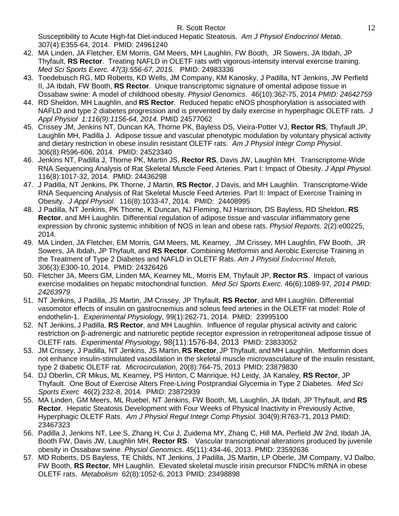Susceptibility to Acute High-fat Diet-induced Hepatic Steatosis. *Am J Physiol Endocrinol Metab.*  307(4):E355-64, 2014.PMID: 24961240

- 42. MA Linden, JA Fletcher, EM Morris, GM Meers, MH Laughlin, FW Booth, JR Sowers, JA Ibdah, JP Thyfault, **RS Rector**. Treating NAFLD in OLETF rats with vigorous-intensity interval exercise training. *Med Sci Sports Exerc. 47(3):556-67, 2015.* PMID: 24983336
- 43. Toedebusch RG, MD Roberts, KD Wells, JM Company, KM Kanosky, J Padilla, NT Jenkins, JW Perfield II, JA Ibdah, FW Booth, **RS Rector**. Unique transcriptomic signature of omental adipose tissue in Ossabaw swine: A model of childhood obesity. *Physiol Genomics*. 46(10):362-75, 2014 *PMID: 24642759*
- 44. RD Sheldon, MH Laughlin, and **RS Rector**. Reduced hepatic eNOS phosphorylation is associated with NAFLD and type 2 diabetes progression and is prevented by daily exercise in hyperphagic OLETF rats. *J Appl Physiol 1;116(9):1156-64, 2014.* PMID 24577062
- 45. Crissey JM, Jenkins NT, Duncan KA, Thorne PK, Bayless DS, Vieira-Potter VJ, **Rector RS**, Thyfault JP, Laughlin MH, Padilla J. Adipose tissue and vascular phenotypic modulation by voluntary physical activity and dietary restriction in obese insulin resistant OLETF rats. *Am J Physiol Integr Comp Physiol*. 306(8):R596-606, 2014. PMID: 24523340
- 46. Jenkins NT, Padilla J, Thorne PK, Martin JS, **Rector RS**, Davis JW, Laughlin MH. Transcriptome-Wide RNA Sequencing Analysis of Rat Skeletal Muscle Feed Arteries. Part I: Impact of Obesity. *J Appl Physiol*. 116(8):1017-32, 2014. PMID: 24436298
- 47. J Padilla, NT Jenkins, PK Thorne, J Martin, **RS Rector**, J Davis, and MH Laughlin. Transcriptome-Wide RNA Sequencing Analysis of Rat Skeletal Muscle Feed Arteries. Part II: Impact of Exercise Training in Obesity. *J Appl Physiol*. 116(8):1033-47, 2014. PMID: 24408995
- 48. J Padilla, NT Jenkins, PK Thorne, K Duncan, NJ Fleming, NJ Harrison, DS Bayless, RD Sheldon, **RS Rector**, and MH Laughlin. Differential regulation of adipose tissue and vascular inflammatory gene expression by chronic systemic inhibition of NOS in lean and obese rats. *Physiol Reports*. 2(2):e00225, 2014.
- 49. MA Linden, JA Fletcher, EM Morris, GM Meers, ML Kearney, JM Crissey, MH Laughlin, FW Booth, JR Sowers, JA Ibdah, JP Thyfault, and **RS Rector**. Combining Metformin and Aerobic Exercise Training in the Treatment of Type 2 Diabetes and NAFLD in OLETF Rats. *Am J Physiol Endocrinol Metab,* 306(3):E300-10, 2014. PMID: 24326426
- 50. Fletcher JA, Meers GM, Linden MA, Kearney ML, Morris EM, Thyfault JP, **Rector RS**. Impact of various exercise modalities on hepatic mitochondrial function. *Med Sci Sports Exerc.* 46(6):1089-97*, 2014 PMID: 24263979*
- 51. NT Jenkins, J Padilla, JS Martin, JM Crissey, JP Thyfault, **RS Rector**, and MH Laughlin. Differential vasomotor effects of insulin on gastrocnemius and soleus feed arteries in the OLETF rat model: Role of endothelin-1. *Experimental Physiology,* 99(1):262-71, 2014. PMID: 23995100
- 52. NT Jenkins, J Padilla, **RS Rector**, and MH Laughlin. Influence of regular physical activity and caloric restriction on β-adrenergic and natriuretic peptide receptor expression in retroperitoneal adipose tissue of OLETF rats. *Experimental Physiology,* 98(11):1576-84, 2013 PMID: 23833052
- 53. JM Crissey, J Padilla, NT Jenkins, JS Martin, **RS Rector**, JP Thyfault, and MH Laughlin. Metformin does not enhance insulin-stimulated vasodilation in the skeletal muscle microvasculature of the insulin resistant, type 2 diabetic OLETF rat. *Microcirculation,* 20(8):764-75, 2013 PMID: 23879830
- 54. DJ Oberlin, CR Mikus, ML Kearney, PS Hinton, C Manrique, HJ Leidy, JA Kanaley, **RS Rector**, JP Thyfault. One Bout of Exercise Alters Free-Living Postprandial Glycemia in Type 2 Diabetes. *Med Sci Sports Exerc* 46(2):232-8, 2014*.* PMID: 23872939
- 55. MA Linden, GM Meers, ML Ruebel, NT Jenkins, FW Booth, ML Laughlin, JA Ibdah, JP Thyfault, and **RS Rector**. Hepatic Steatosis Development with Four Weeks of Physical Inactivity in Previously Active, Hyperphagic OLETF Rats. *Am J Physiol Regul Integr Comp Physiol.* 304(9):R763-71, 2013 PMID: 23467323
- 56. Padilla J, Jenkins NT, Lee S, Zhang H, Cui J, Zuidema MY, Zhang C, Hill MA, Perfield JW 2nd, Ibdah JA, Booth FW, Davis JW, Laughlin MH, **Rector RS**. [Vascular transcriptional alterations produced by juvenile](http://www.ncbi.nlm.nih.gov/pubmed/23592636)  [obesity in Ossabaw swine.](http://www.ncbi.nlm.nih.gov/pubmed/23592636) *Physiol Genomics*. 45(11):434-46, 2013. PMID: 23592636
- 57. MD Roberts, DS Bayless, TE Childs, NT Jenkins, J Padilla, JS Martin, LP Oberle, JM Company, VJ Dalbo, FW Booth, **RS Rector**, MH Laughlin. Elevated skeletal muscle irisin precursor FNDC% mRNA in obese OLETF rats. *Metabolism* 62(8):1052-6, 2013 PMID: 23498898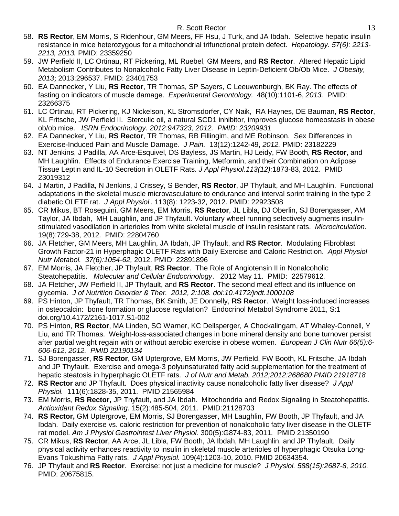- 58. **RS Rector**, EM Morris, S Ridenhour, GM Meers, FF Hsu, J Turk, and JA Ibdah. Selective hepatic insulin resistance in mice heterozygous for a mitochondrial trifunctional protein defect. *Hepatology. 57(6): 2213- 2213, 2013.* PMID: 23359250
- 59. JW Perfield II, LC Ortinau, RT Pickering, ML Ruebel, GM Meers, and **RS Rector**. Altered Hepatic Lipid Metabolism Contributes to Nonalcoholic Fatty Liver Disease in Leptin-Deficient Ob/Ob Mice. *J Obesity, 2013*; 2013:296537. PMID: 23401753
- 60. EA Dannecker, Y Liu, **RS Rector**, TR Thomas, SP Sayers, C Leeuwenburgh, BK Ray. The effects of fasting on indicators of muscle damage. *Experimental Gerontology.* 48(10):1101-6, *2013.* PMID: 23266375
- 61. LC Ortinau, RT Pickering, KJ Nickelson, KL Stromsdorfer, CY Naik, RA Haynes, DE Bauman, **RS Rector**, KL Fritsche, JW Perfield II. Sterculic oil, a natural SCD1 inhibitor, improves glucose homeostasis in obese ob/ob mice. *ISRN Endocrinology. 2012:947323, 2012. PMID: 23209931*
- 62. EA Dannecker, Y Liu, **RS Rector**, TR Thomas, RB Fillingim, and ME Robinson. Sex Differences in Exercise-Induced Pain and Muscle Damage*. J Pain.* 13(12):1242-49, *2012.* PMID: 23182229
- 63. NT Jenkins, J Padilla, AA Arce-Esquivel, DS Bayless, JS Martin, HJ Leidy, FW Booth, **RS Rector**, and MH Laughlin. Effects of Endurance Exercise Training, Metformin, and their Combination on Adipose Tissue Leptin and IL-10 Secretion in OLETF Rats. *J Appl Physiol.113(12):*1873-83, 2012. PMID 23019312
- 64. J Martin, J Padilla, N Jenkins, J Crissey, S Bender, **RS Rector**, JP Thyfault, and MH Laughlin. Functional adaptations in the skeletal muscle microvasculature to endurance and interval sprint training in the type 2 diabetic OLETF rat. *J Appl Physiol* . 113(8): 1223-32, 2012. PMID: 22923508
- 65. CR Mikus, BT Roseguini, GM Meers, EM Morris, **RS Rector**, JL Libla, DJ Oberlin, SJ Borengasser, AM Taylor, JA Ibdah, MH Laughlin, and JP Thyfault. Voluntary wheel running selectively augments insulinstimulated vasodilation in arterioles from white skeletal muscle of insulin resistant rats. *Microcirculation.*  19(8):729-38, 2012. PMID: 22804760
- 66. JA Fletcher, GM Meers, MH Laughlin, JA Ibdah, JP Thyfault, and **RS Rector**. Modulating Fibroblast Growth Factor-21 in Hyperphagic OLETF Rats with Daily Exercise and Caloric Restriction. *Appl Physiol Nutr Metabol. 37(6):1054-62,* 2012. PMID: 22891896
- 67. EM Morris, JA Fletcher, JP Thyfault, **RS Rector**. The Role of Angiotensin II in Nonalcoholic Steatohepatitis. *Molecular and Cellular Endocrinology*. 2012 May 11. PMID: 22579612*.*
- 68. JA Fletcher, JW Perfield II, JP Thyfault, and **RS Rector**. The second meal effect and its influence on glycemia. *J of Nutrition Disorder & Ther. 2012, 2:108. doi:10.4172/jndt.1000108*
- 69. PS Hinton, JP Thyfault, TR Thomas, BK Smith, JE Donnelly, **RS Rector**. Weight loss-induced increases in osteocalcin: bone formation or glucose regulation? Endocrinol Metabol Syndrome 2011, S:1 doi.org/10.4172/2161-1017.S1-002
- 70. PS Hinton, **RS Rector**, MA Linden, SO Warner, KC Dellsperger, A Chockalingam, AT Whaley-Connell, Y Liu, and TR Thomas. Weight-loss-associated changes in bone mineral density and bone turnover persist after partial weight regain with or without aerobic exercise in obese women. *European J Clin Nutr 66(5):6- 606-612, 2012. PMID 22190134*
- 71. SJ Borengasser, **RS Rector**, GM Uptergrove, EM Morris, JW Perfield, FW Booth, KL Fritsche, JA Ibdah and JP Thyfault. Exercise and omega-3 polyunsaturated fatty acid supplementation for the treatment of hepatic steatosis in hyperphagic OLETF rats. *J of Nutr and Metab. 2012;2012:268680 PMID 21918718*
- 72. **RS Rector** and JP Thyfault. Does physical inactivity cause nonalcoholic fatty liver disease? *J Appl Physiol.* 111(6):1828-35, 2011. PMID 21565984
- 73. EM Morris, **RS Rector,** JP Thyfault, and JA Ibdah. Mitochondria and Redox Signaling in Steatohepatitis. *Antioxidant Redox Signaling.* 15(2):485-504, 2011. PMID:21128703
- 74. **RS Rector,** GM Uptergrove, EM Morris, SJ Borengasser, MH Laughlin, FW Booth, JP Thyfault, and JA Ibdah. Daily exercise vs. caloric restriction for prevention of nonalcoholic fatty liver disease in the OLETF rat model. *Am J Physiol Gastrointest Liver Physiol.* 300(5):G874-83, 2011*.* PMID 21350190
- 75. CR Mikus, **RS Rector**, AA Arce, JL Libla, FW Booth, JA Ibdah, MH Laughlin, and JP Thyfault. Daily physical activity enhances reactivity to insulin in skeletal muscle arterioles of hyperphagic Otsuka Long-Evans Tokushima Fatty rats. *J Appl Physiol.* 109(4):1203-10, 2010. PMID 20634354.
- 76. JP Thyfault and **RS Rector**. Exercise: not just a medicine for muscle? *J Physiol. 588(15):2687-8, 2010.*  PMID: 20675815.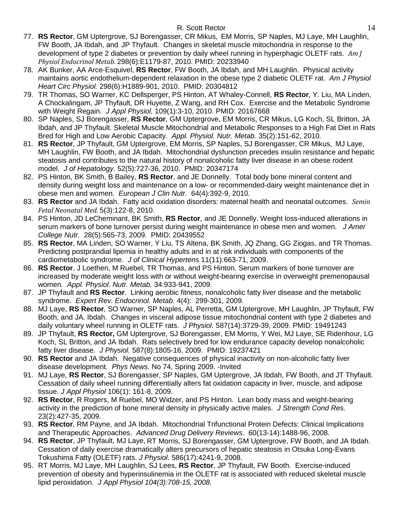- 77. **RS Rector**, GM Uptergrove, SJ Borengasser, CR Mikus, EM Morris, SP Naples, MJ Laye, MH Laughlin, FW Booth, JA Ibdah, and JP Thyfault. Changes in skeletal muscle mitochondria in response to the development of type 2 diabetes or prevention by daily wheel running in hyperphagic OLETF rats. *Am J Physiol Endocrinol Metab.* 298(6):E1179-87, 2010. PMID: 20233940
- 78. AK Bunker, AA Arce-Esquivel, **RS Rector**, FW Booth, JA Ibdah, and MH Laughlin. [Physical activity](http://www.ncbi.nlm.nih.gov/pubmed/20304812)  [maintains aortic endothelium-dependent relaxation in the obese type 2 diabetic OLETF rat.](http://www.ncbi.nlm.nih.gov/pubmed/20304812) *Am J Physiol Heart Circ Physiol.* 298(6):H1889-901, 2010. PMID: 20304812
- 79. TR Thomas, SO Warner, KC Dellsperger, PS Hinton, AT Whaley-Connell, **RS Rector**, Y. Liu, MA Linden, A Chockalingam, JP Thyfault, DR Huyette, Z Wang, and RH Cox. Exercise and the Metabolic Syndrome with Weight Regain. *J Appl Physiol.* 109(1):3-10, 2010. PMID: 20167668
- 80. SP Naples, SJ Borengasser, **RS Rector**, GM Uptergrove, EM Morris, CR Mikus, LG Koch, SL Britton, JA Ibdah, and JP Thyfault. Skeletal Muscle Mitochondrial and Metabolic Responses to a High Fat Diet in Rats Bred for High and Low Aerobic Capacity.*Appl. Physiol. Nutr. Metab.* 35(2):151-62, 2010*.*
- 81. **RS Rector**, JP Thyfault, GM Uptergrove, EM Morris, SP Naples, SJ Borengasser, CR Mikus, MJ Laye, MH Laughlin, FW Booth, and JA Ibdah. Mitochondrial dysfunction precedes insulin resistance and hepatic steatosis and contributes to the natural history of nonalcoholic fatty liver disease in an obese rodent model. *J of Hepatology.* 52(5):727-36, 2010. PMID: 20347174
- 82. PS Hinton, BK Smith, B Bailey, **RS Rector**, and JE Donnelly. Total body bone mineral content and density during weight loss and maintenance on a low- or recommended-dairy weight maintenance diet in obese men and women. *European J Clin Nutr.* 64(4):392-9, 2010.
- 83. **RS Rector** and JA Ibdah. Fatty acid oxidation disorders: maternal health and neonatal outcomes. *Semin Fetal Neonatal Med.* 5(3):122-8, 2010.
- 84. PS Hinton, JD LeCheminant, BK Smith, **RS Rector**, and JE Donnelly. Weight loss-induced alterations in serum markers of bone turnover persist during weight maintenance in obese men and women. *J Amer College Nutr.* 28(5):565-73, 2009. PMID: 20439552
- 85. **RS Rector**, MA Linden, SO Warner, Y Liu, TS Altena, BK Smith, JQ Zhang, GG Ziogas, and TR Thomas. Predicting postprandial lipemia in healthy adults and in at risk individuals with components of the cardiometabolic syndrome. *J of Clinical Hypertens* 11(11):663-71, 2009.
- 86. **RS Rector**, J Loethen, M Ruebel, TR Thomas, and PS Hinton. Serum markers of bone turnover are increased by moderate weight loss with or without weight-bearing exercise in overweight premenopausal women. *Appl. Physiol. Nutr. Metab.* 34:933-941, 2009.
- 87. JP Thyfault and **RS Rector**. Linking aerobic fitness, nonalcoholic fatty liver disease and the metabolic syndrome. *Expert Rev. Endocrinol. Metab*. 4(4): 299-301, 2009.
- 88. MJ Laye, **RS Rector**, SO Warner, SP Naples, AL Perretta, GM Uptergrove, MH Laughlin, JP Thyfault, FW Booth, and JA. Ibdah. Changes in visceral adipose tissue mitochondrial content with type 2 diabetes and daily voluntary wheel running in OLETF rats. *J Physiol.* 587(14):3729-39, 2009. PMID: 19491243
- 89. JP Thyfault, **RS Rector,** GM Uptergrove, SJ Borengasser, EM Morris, Y Wei, MJ Laye, SE Ridenhour, LG Koch, SL Britton, and JA Ibdah. Rats selectively bred for low endurance capacity develop nonalcoholic fatty liver disease. *J Physiol.* 587(8):1805-16, 2009. PMID: 19237421
- 90. **RS Rector** and JA Ibdah. Negative consequences of physical inactivity on non-alcoholic fatty liver disease development*. Phys News.* No 74, Spring 2009. -Invited
- 91. MJ Laye, **RS Rector**, SJ Borengasser, SP Naples, GM Uptergrove, JA Ibdah, FW Booth, and JT Thyfault. Cessation of daily wheel running differentially alters fat oxidation capacity in liver, muscle, and adipose tissue. *J Appl Physiol* 106(1): 161-8, 2009.
- 92. **RS Rector**, R Rogers, M Ruebel, MO Widzer, and PS Hinton. Lean body mass and weight-bearing activity in the prediction of bone mineral density in physically active males. *J Strength Cond Res.*  23(2):427-35, 2009.
- 93. **RS Rector**, RM Payne, and JA Ibdah. Mitochondrial Trifunctional Protein Defects: Clinical Implications and Therapeutic Approaches. *Advanced Drug Delivery Reviews*. 60(13-14):1488-96, 2008.
- 94. **RS Rector**, JP Thyfault, MJ Laye, RT Morris, SJ Borengasser, GM Uptergrove, FW Booth, and JA Ibdah. Cessation of daily exercise dramatically alters precursors of hepatic steatosis in Otsuka Long-Evans Tokushima Fatty (OLETF) rats. *J Physiol.* 586(17):4241-9, 2008.
- 95. RT Morris, MJ Laye, MH Laughlin, SJ Lees, **RS Rector**, JP Thyfault, FW Booth. Exercise-induced prevention of obesity and hyperinsulinemia in the OLETF rat is associated with reduced skeletal muscle lipid peroxidation. *J Appl Physiol 104(3):708-15, 2008.*